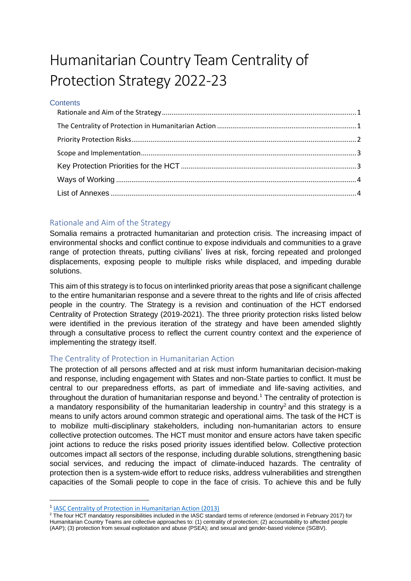# Humanitarian Country Team Centrality of Protection Strategy 2022-23

### **Contents**

## <span id="page-0-0"></span>Rationale and Aim of the Strategy

Somalia remains a protracted humanitarian and protection crisis. The increasing impact of environmental shocks and conflict continue to expose individuals and communities to a grave range of protection threats, putting civilians' lives at risk, forcing repeated and prolonged displacements, exposing people to multiple risks while displaced, and impeding durable solutions.

This aim of this strategy is to focus on interlinked priority areas that pose a significant challenge to the entire humanitarian response and a severe threat to the rights and life of crisis affected people in the country. The Strategy is a revision and continuation of the HCT endorsed Centrality of Protection Strategy (2019-2021). The three priority protection risks listed below were identified in the previous iteration of the strategy and have been amended slightly through a consultative process to reflect the current country context and the experience of implementing the strategy itself.

## <span id="page-0-1"></span>The Centrality of Protection in Humanitarian Action

The protection of all persons affected and at risk must inform humanitarian decision-making and response, including engagement with States and non-State parties to conflict. It must be central to our preparedness efforts, as part of immediate and life-saving activities, and throughout the duration of humanitarian response and beyond*.* <sup>1</sup> The centrality of protection is a mandatory responsibility of the humanitarian leadership in country<sup>2</sup> and this strategy is a means to unify actors around common strategic and operational aims. The task of the HCT is to mobilize multi-disciplinary stakeholders, including non-humanitarian actors to ensure collective protection outcomes. The HCT must monitor and ensure actors have taken specific joint actions to reduce the risks posed priority issues identified below. Collective protection outcomes impact all sectors of the response, including durable solutions, strengthening basic social services, and reducing the impact of climate-induced hazards. The centrality of protection then is a system-wide effort to reduce risks, address vulnerabilities and strengthen capacities of the Somali people to cope in the face of crisis. To achieve this and be fully

<sup>&</sup>lt;sup>1</sup> [IASC Centrality of Protection in Humanitarian Action \(2013\)](file:///C:/Users/mattb/Desktop/ProCap%20ReDesign%20Tool%20Box%20-%20V3-%20151220/ProCap%20ReDesign%20Tool%20Box%20-%20V3-%20151220/Annexes/the_centrality_of_protection_in_humanitarian_action_english_.pdf%20(interagencystandingcommittee.org))

<sup>&</sup>lt;sup>2</sup> The four HCT mandatory responsibilities included in the IASC standard terms of reference (endorsed in February 2017) for Humanitarian Country Teams are collective approaches to: (1) centrality of protection; (2) accountability to affected people (AAP); (3) protection from sexual exploitation and abuse (PSEA); and sexual and gender-based violence (SGBV).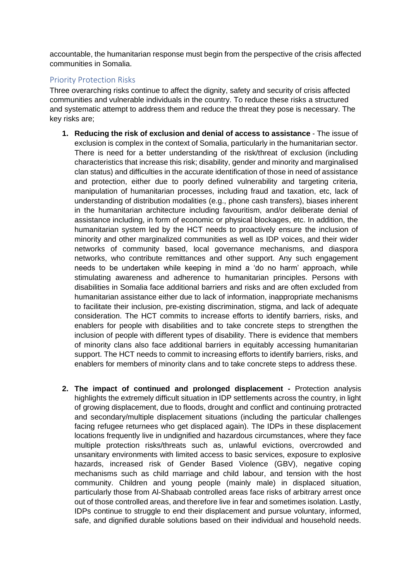accountable, the humanitarian response must begin from the perspective of the crisis affected communities in Somalia.

## <span id="page-1-0"></span>Priority Protection Risks

Three overarching risks continue to affect the dignity, safety and security of crisis affected communities and vulnerable individuals in the country. To reduce these risks a structured and systematic attempt to address them and reduce the threat they pose is necessary. The key risks are;

- **1. Reducing the risk of exclusion and denial of access to assistance** The issue of exclusion is complex in the context of Somalia, particularly in the humanitarian sector. There is need for a better understanding of the risk/threat of exclusion (including characteristics that increase this risk; disability, gender and minority and marginalised clan status) and difficulties in the accurate identification of those in need of assistance and protection, either due to poorly defined vulnerability and targeting criteria, manipulation of humanitarian processes, including fraud and taxation, etc, lack of understanding of distribution modalities (e.g., phone cash transfers), biases inherent in the humanitarian architecture including favouritism, and/or deliberate denial of assistance including, in form of economic or physical blockages, etc. In addition, the humanitarian system led by the HCT needs to proactively ensure the inclusion of minority and other marginalized communities as well as IDP voices, and their wider networks of community based, local governance mechanisms, and diaspora networks, who contribute remittances and other support. Any such engagement needs to be undertaken while keeping in mind a 'do no harm' approach, while stimulating awareness and adherence to humanitarian principles. Persons with disabilities in Somalia face additional barriers and risks and are often excluded from humanitarian assistance either due to lack of information, inappropriate mechanisms to facilitate their inclusion, pre-existing discrimination, stigma, and lack of adequate consideration. The HCT commits to increase efforts to identify barriers, risks, and enablers for people with disabilities and to take concrete steps to strengthen the inclusion of people with different types of disability. There is evidence that members of minority clans also face additional barriers in equitably accessing humanitarian support. The HCT needs to commit to increasing efforts to identify barriers, risks, and enablers for members of minority clans and to take concrete steps to address these.
- **2. The impact of continued and prolonged displacement -** Protection analysis highlights the extremely difficult situation in IDP settlements across the country, in light of growing displacement, due to floods, drought and conflict and continuing protracted and secondary/multiple displacement situations (including the particular challenges facing refugee returnees who get displaced again). The IDPs in these displacement locations frequently live in undignified and hazardous circumstances, where they face multiple protection risks/threats such as, unlawful evictions, overcrowded and unsanitary environments with limited access to basic services, exposure to explosive hazards, increased risk of Gender Based Violence (GBV), negative coping mechanisms such as child marriage and child labour, and tension with the host community. Children and young people (mainly male) in displaced situation, particularly those from Al-Shabaab controlled areas face risks of arbitrary arrest once out of those controlled areas, and therefore live in fear and sometimes isolation. Lastly, IDPs continue to struggle to end their displacement and pursue voluntary, informed, safe, and dignified durable solutions based on their individual and household needs.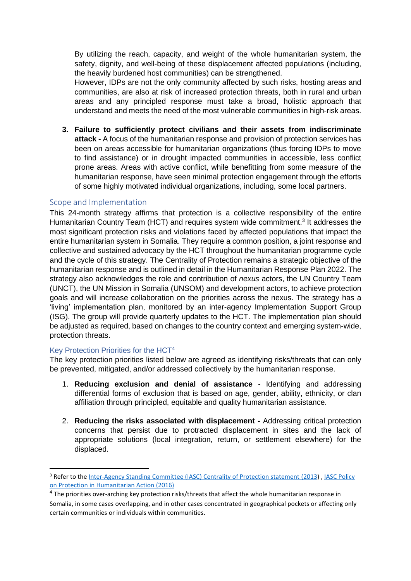By utilizing the reach, capacity, and weight of the whole humanitarian system, the safety, dignity, and well-being of these displacement affected populations (including, the heavily burdened host communities) can be strengthened.

However, IDPs are not the only community affected by such risks, hosting areas and communities, are also at risk of increased protection threats, both in rural and urban areas and any principled response must take a broad, holistic approach that understand and meets the need of the most vulnerable communities in high-risk areas.

**3. Failure to sufficiently protect civilians and their assets from indiscriminate attack -** A focus of the humanitarian response and provision of protection services has been on areas accessible for humanitarian organizations (thus forcing IDPs to move to find assistance) or in drought impacted communities in accessible, less conflict prone areas. Areas with active conflict, while benefitting from some measure of the humanitarian response, have seen minimal protection engagement through the efforts of some highly motivated individual organizations, including, some local partners.

### <span id="page-2-0"></span>Scope and Implementation

This 24-month strategy affirms that protection is a collective responsibility of the entire Humanitarian Country Team (HCT) and requires system wide commitment.<sup>3</sup> It addresses the most significant protection risks and violations faced by affected populations that impact the entire humanitarian system in Somalia. They require a common position, a joint response and collective and sustained advocacy by the HCT throughout the humanitarian programme cycle and the cycle of this strategy. The Centrality of Protection remains a strategic objective of the humanitarian response and is outlined in detail in the Humanitarian Response Plan 2022. The strategy also acknowledges the role and contribution of *nexus* actors, the UN Country Team (UNCT), the UN Mission in Somalia (UNSOM) and development actors, to achieve protection goals and will increase collaboration on the priorities across the nexus. The strategy has a 'living' implementation plan, monitored by an inter-agency Implementation Support Group (ISG). The group will provide quarterly updates to the HCT. The implementation plan should be adjusted as required, based on changes to the country context and emerging system-wide, protection threats.

#### <span id="page-2-1"></span>Key Protection Priorities for the HCT<sup>4</sup>

The key protection priorities listed below are agreed as identifying risks/threats that can only be prevented, mitigated, and/or addressed collectively by the humanitarian response.

- 1. **Reducing exclusion and denial of assistance** Identifying and addressing differential forms of exclusion that is based on age, gender, ability, ethnicity, or clan affiliation through principled, equitable and quality humanitarian assistance.
- 2. **Reducing the risks associated with displacement -** Addressing critical protection concerns that persist due to protracted displacement in sites and the lack of appropriate solutions (local integration, return, or settlement elsewhere) for the displaced.

<sup>&</sup>lt;sup>3</sup> Refer to the [Inter-Agency Standing Committee \(IASC\) Centrality of Protection statement \(2013\)](file:///C:/Users/mattb/AppData/Local/Microsoft/Windows/INetCache/Content.Outlook/FZS9XADY/the%20Inter-Agency%20Standing%20Committee%20(IASC)%20Centrality%20of%20Protection%20statement%202013), IASC Policy [on Protection in Humanitarian Action \(2016\)](https://interagencystandingcommittee.org/system/files/2020-11/IASC%20Policy%20on%20Protection%20in%20Humanitarian%20Action%2C%202016.pdf)

<sup>&</sup>lt;sup>4</sup> The priorities over-arching key protection risks/threats that affect the whole humanitarian response in Somalia, in some cases overlapping, and in other cases concentrated in geographical pockets or affecting only certain communities or individuals within communities.